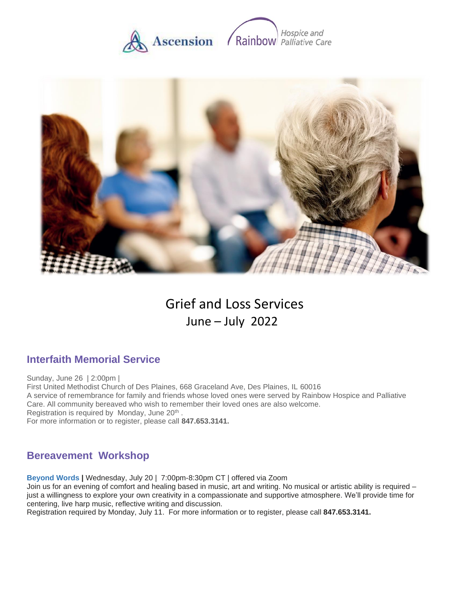



# Grief and Loss Services June – July 2022

# **Interfaith Memorial Service**

Sunday, June 26 | 2:00pm | First United Methodist Church of Des Plaines, 668 Graceland Ave, Des Plaines, IL 60016 A service of remembrance for family and friends whose loved ones were served by Rainbow Hospice and Palliative Care. All community bereaved who wish to remember their loved ones are also welcome. Registration is required by Monday, June 20<sup>th</sup>. For more information or to register, please call **847.653.3141.**

# **Bereavement Workshop**

**Beyond Words |** Wednesday, July 20 | 7:00pm-8:30pm CT | offered via Zoom

Join us for an evening of comfort and healing based in music, art and writing. No musical or artistic ability is required – just a willingness to explore your own creativity in a compassionate and supportive atmosphere. We'll provide time for centering, live harp music, reflective writing and discussion.

Registration required by Monday, July 11. For more information or to register, please call **847.653.3141.**